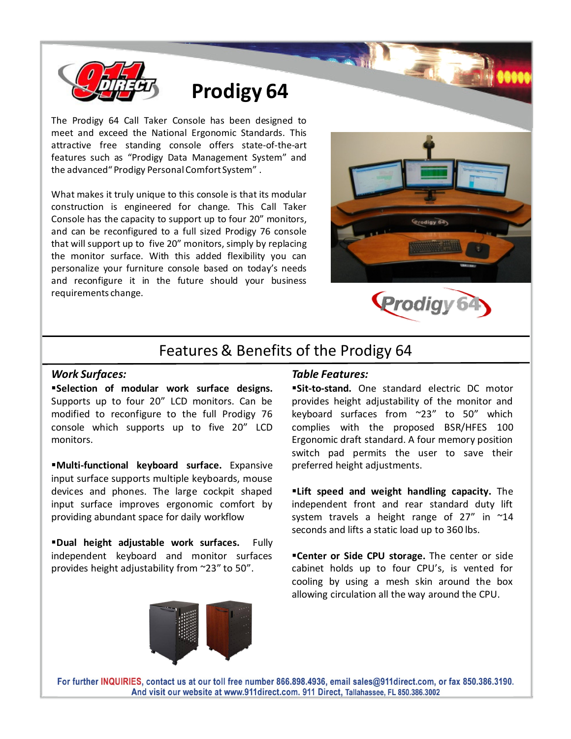

# Prodigy 64

The Prodigy 64 Call Taker Console has been designed to meet and exceed the National Ergonomic Standards. This attractive free standing console offers state-of-the-art features such as "Prodigy Data Management System" and the advanced" Prodigy Personal Comfort System" .

What makes it truly unique to this console is that its modular construction is engineered for change. This Call Taker Console has the capacity to support up to four 20" monitors, and can be reconfigured to a full sized Prodigy 76 console that will support up to five 20" monitors, simply by replacing the monitor surface. With this added flexibility you can personalize your furniture console based on today's needs and reconfigure it in the future should your business requirements change.





# Features & Benefits of the Prodigy 64

# Work Surfaces:

Selection of modular work surface designs. Supports up to four 20" LCD monitors. Can be modified to reconfigure to the full Prodigy 76 console which supports up to five 20" LCD monitors.

Multi-functional keyboard surface. Expansive input surface supports multiple keyboards, mouse devices and phones. The large cockpit shaped input surface improves ergonomic comfort by providing abundant space for daily workflow

Dual height adjustable work surfaces. Fully independent keyboard and monitor surfaces provides height adjustability from ~23" to 50".

# Table Features:

**Sit-to-stand.** One standard electric DC motor provides height adjustability of the monitor and keyboard surfaces from ~23" to 50" which complies with the proposed BSR/HFES 100 Ergonomic draft standard. A four memory position switch pad permits the user to save their preferred height adjustments.

**Elift speed and weight handling capacity.** The independent front and rear standard duty lift system travels a height range of  $27''$  in  $^{\sim}14$ seconds and lifts a static load up to 360 lbs.

**"Center or Side CPU storage.** The center or side cabinet holds up to four CPU's, is vented for cooling by using a mesh skin around the box allowing circulation all the way around the CPU.



For further INQUIRIES, contact us at our toll free number 866.898.4936, email sales@911direct.com, or fax 850.386.3190. And visit our website at www.911direct.com. 911 Direct, Tallahassee, FL 850.386.3002